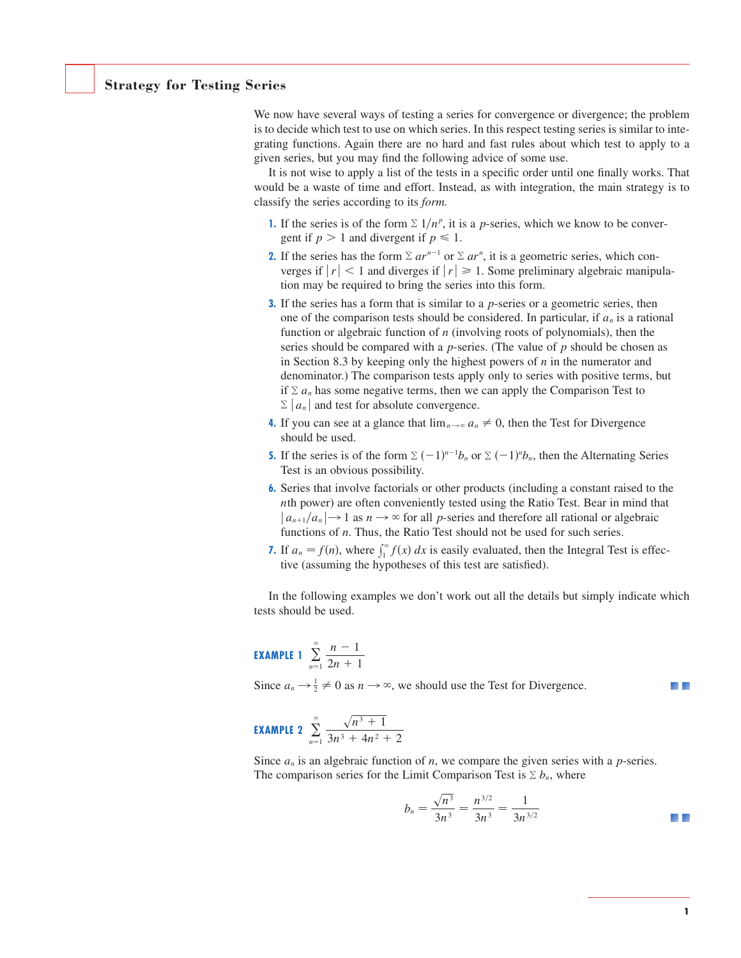## **Strategy for Testing Series**

We now have several ways of testing a series for convergence or divergence; the problem is to decide which test to use on which series. In this respect testing series is similar to integrating functions. Again there are no hard and fast rules about which test to apply to a given series, but you may find the following advice of some use.

It is not wise to apply a list of the tests in a specific order until one finally works. That would be a waste of time and effort. Instead, as with integration, the main strategy is to classify the series according to its *form.*

- **1.** If the series is of the form  $\Sigma$  1/ $n^p$ , it is a p-series, which we know to be convergent if  $p > 1$  and divergent if  $p \le 1$ .
- **2.** If the series has the form  $\Sigma ar^{n-1}$  or  $\Sigma ar^n$ , it is a geometric series, which converges if  $|r| < 1$  and diverges if  $|r| \ge 1$ . Some preliminary algebraic manipulation may be required to bring the series into this form.
- **3.** If the series has a form that is similar to a *p*-series or a geometric series, then one of the comparison tests should be considered. In particular, if  $a_n$  is a rational function or algebraic function of  $n$  (involving roots of polynomials), then the series should be compared with a  $p$ -series. (The value of  $p$  should be chosen as in Section 8.3 by keeping only the highest powers of  $n$  in the numerator and denominator.) The comparison tests apply only to series with positive terms, but if  $\Sigma a_n$  has some negative terms, then we can apply the Comparison Test to  $\sum |a_n|$  and test for absolute convergence.
- **4.** If you can see at a glance that  $\lim_{n \to \infty} a_n \neq 0$ , then the Test for Divergence should be used.
- **5.** If the series is of the form  $\sum (-1)^{n-1}b_n$  or  $\sum (-1)^n b_n$ , then the Alternating Series Test is an obvious possibility.
- **6.** Series that involve factorials or other products (including a constant raised to the th power) are often conveniently tested using the Ratio Test. Bear in mind that *n*  $n_1/a_n$   $\rightarrow$  1 as  $n \rightarrow \infty$  for all *p*-series and therefore all rational or algebraic  $|a_{n+1}/a_n| \rightarrow 1$  as  $n \rightarrow \infty$  for all *p*-series and therefore all rational or al functions of *n*. Thus, the Ratio Test should not be used for such series.
- **7.** If  $a_n = f(n)$ , where  $\int_1^{\infty} f(x) dx$  is easily evaluated, then the Integral Test is effective (assuming the hypotheses of this test are satisfied).

In the following examples we don't work out all the details but simply indicate which tests should be used.

**EXAMPLE 1** 
$$
\sum_{n=1}^{\infty} \frac{n-1}{2n+1}
$$

Since  $a_n \rightarrow \frac{1}{2} \neq 0$  as  $n \rightarrow \infty$ , we should use the Test for Divergence.

**EXAMPLE 2** 
$$
\sum_{n=1}^{\infty} \frac{\sqrt{n^3+1}}{3n^3+4n^2+2}
$$

Since  $a_n$  is an algebraic function of *n*, we compare the given series with a *p*-series. The comparison series for the Limit Comparison Test is  $\Sigma b_n$ , where

$$
b_n = \frac{\sqrt{n^3}}{3n^3} = \frac{n^{3/2}}{3n^3} = \frac{1}{3n^{3/2}}
$$

- 12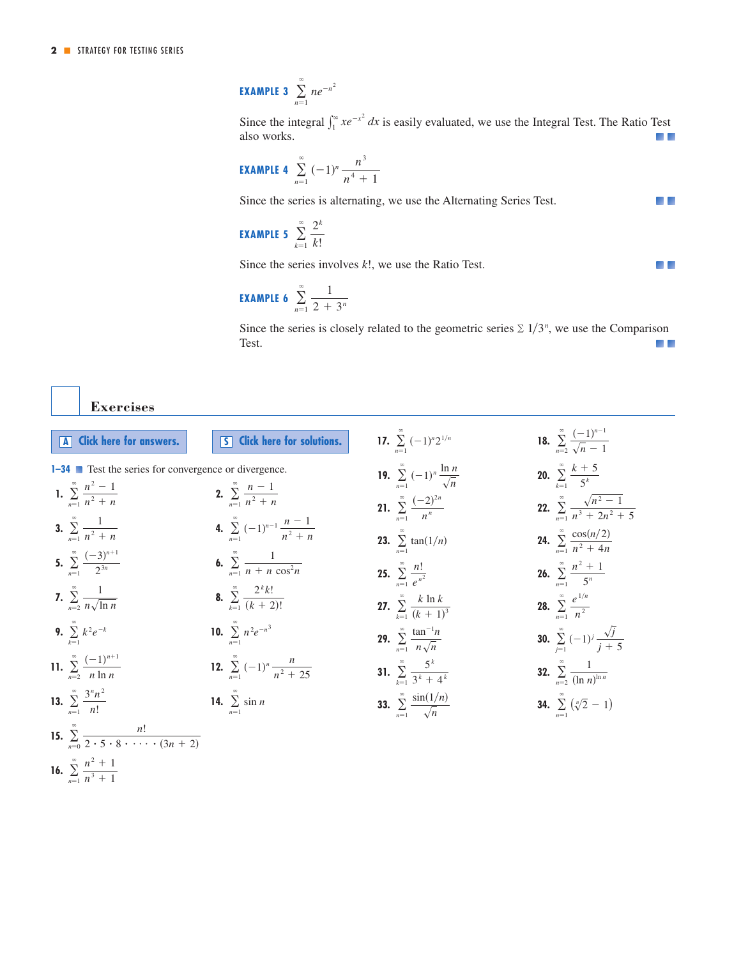**EXAMPLE 3**  $\infty$  $\sum_{n=1}$  *ne*<sup>-n<sup>2</sup></sup>

 $\int_1^\infty xe^{-x^2} dx$ Since the integral  $\int_{1}^{\infty} xe^{-x^2} dx$  is easily evaluated, we use the Integral Test. The Ratio Test a a also works.

 $\blacksquare$ 

a la

**EXAMPLE 4** 
$$
\sum_{n=1}^{\infty} (-1)^n \frac{n^3}{n^4 + 1}
$$

Since the series is alternating, we use the Alternating Series Test.

**EXAMPLE 5** 
$$
\sum_{k=1}^{\infty} \frac{2^k}{k!}
$$

Since the series involves *k*!, we use the Ratio Test.

**EXAMPLE 6** 
$$
\sum_{n=1}^{\infty} \frac{1}{2 + 3^n}
$$

Since the series is closely related to the geometric series  $\sum 1/3^n$ , we use the Comparison Test.  $\mathcal{L}$ 

**Exercises**

| A Click here for answers.                                                        | 5 Click here for solutions.                              | 17. $\sum_{n=1}^{\infty} (-1)^n 2^{1/n}$                      | 18. $\sum_{n=2}^{\infty} \frac{(-1)^{n-1}}{\sqrt{n-1}}$          |
|----------------------------------------------------------------------------------|----------------------------------------------------------|---------------------------------------------------------------|------------------------------------------------------------------|
| <b>1-34</b> Test the series for convergence or divergence.                       |                                                          | 19. $\sum_{n=1}^{\infty} (-1)^n \frac{\ln n}{\sqrt{n}}$       | <b>20.</b> $\sum_{k=1}^{\infty} \frac{k+5}{5^k}$                 |
| 1. $\sum_{n=1}^{\infty} \frac{n^2-1}{n^2+n}$                                     | 2. $\sum_{n=1}^{\infty} \frac{n-1}{n^2+n}$               | <b>21.</b> $\sum_{n=1}^{\infty} \frac{(-2)^{2n}}{n^n}$        | <b>22.</b> $\sum_{n=1}^{\infty} \frac{\sqrt{n^2-1}}{n^3+2n^2+5}$ |
| 3. $\sum_{n=1}^{\infty} \frac{1}{n^2 + n}$                                       | 4. $\sum_{n=1}^{\infty} (-1)^{n-1} \frac{n-1}{n^2+n}$    | <b>23.</b> $\sum_{n=1}^{\infty} \tan(1/n)$                    | <b>24.</b> $\sum_{n=1}^{\infty} \frac{\cos(n/2)}{n^2 + 4n}$      |
| 5. $\sum_{n=1}^{\infty} \frac{(-3)^{n+1}}{2^{3n}}$                               | <b>6.</b> $\sum_{n=1}^{\infty} \frac{1}{n + n \cos^2 n}$ | <b>25.</b> $\sum_{n=1}^{\infty} \frac{n!}{e^{n^2}}$           | <b>26.</b> $\sum_{n=1}^{\infty} \frac{n^2+1}{5^n}$               |
| 7. $\sum_{n=2}^{\infty} \frac{1}{n \sqrt{\ln n}}$                                | <b>8.</b> $\sum_{k=1}^{\infty} \frac{2^k k!}{(k+2)!}$    | <b>27.</b> $\sum_{k=1}^{\infty} \frac{k \ln k}{(k+1)^3}$      | <b>28.</b> $\sum_{n=1}^{\infty} \frac{e^{1/n}}{n^2}$             |
| <b>9.</b> $\sum_{k=1}^{\infty} k^2 e^{-k}$                                       | 10. $\sum_{n=1}^{\infty} n^2 e^{-n^3}$                   | <b>29.</b> $\sum_{n=1}^{\infty} \frac{\tan^{-1}n}{n\sqrt{n}}$ | <b>30.</b> $\sum_{i=1}^{\infty} (-1)^i \frac{\sqrt{j}}{j+5}$     |
| 11. $\sum_{n=2}^{\infty} \frac{(-1)^{n+1}}{n \ln n}$                             | 12. $\sum_{n=1}^{\infty} (-1)^n \frac{n}{n^2 + 25}$      | 31. $\sum_{k=1}^{\infty} \frac{5^k}{3^k + 4^k}$               | <b>32.</b> $\sum_{n=2}^{\infty} \frac{1}{(\ln n)^{\ln n}}$       |
| 13. $\sum_{n=1}^{\infty} \frac{3^n n^2}{n!}$                                     | <b>14.</b> $\sum_{n=1}^{\infty} \sin n$                  | <b>33.</b> $\sum_{n=1}^{\infty} \frac{\sin(1/n)}{\sqrt{n}}$   | <b>34.</b> $\sum_{n=1}^{\infty} (\sqrt[n]{2} - 1)$               |
| 15. $\sum_{n=0}^{\infty} \frac{n!}{2 \cdot 5 \cdot 8 \cdot \cdots \cdot (3n+2)}$ |                                                          |                                                               |                                                                  |
| 16. $\sum_{n=1}^{\infty} \frac{n^2+1}{n^3+1}$                                    |                                                          |                                                               |                                                                  |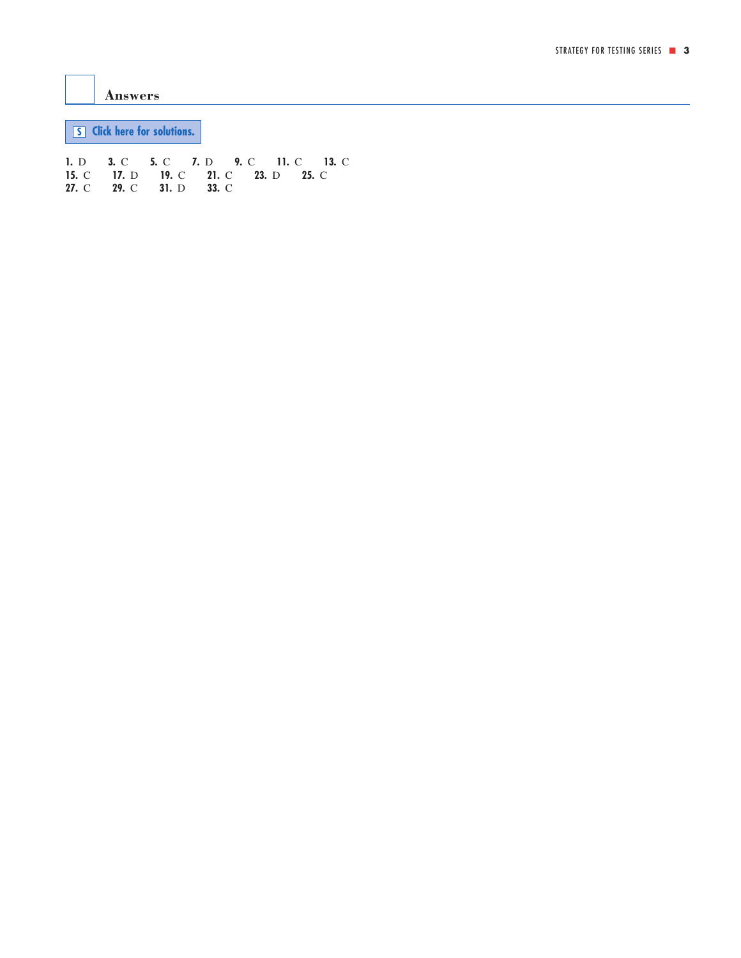<span id="page-2-0"></span>**Answers**

**S [Click here for solutions.](#page-3-0)**

**1.** D **3.** C **5.** C **7.** D **9.** C **11.** C **13.** C **15.** C **17.** D **19.** C **21.** C **23.** D **25.** C **27.** C **29.** C **31.** D **33.** C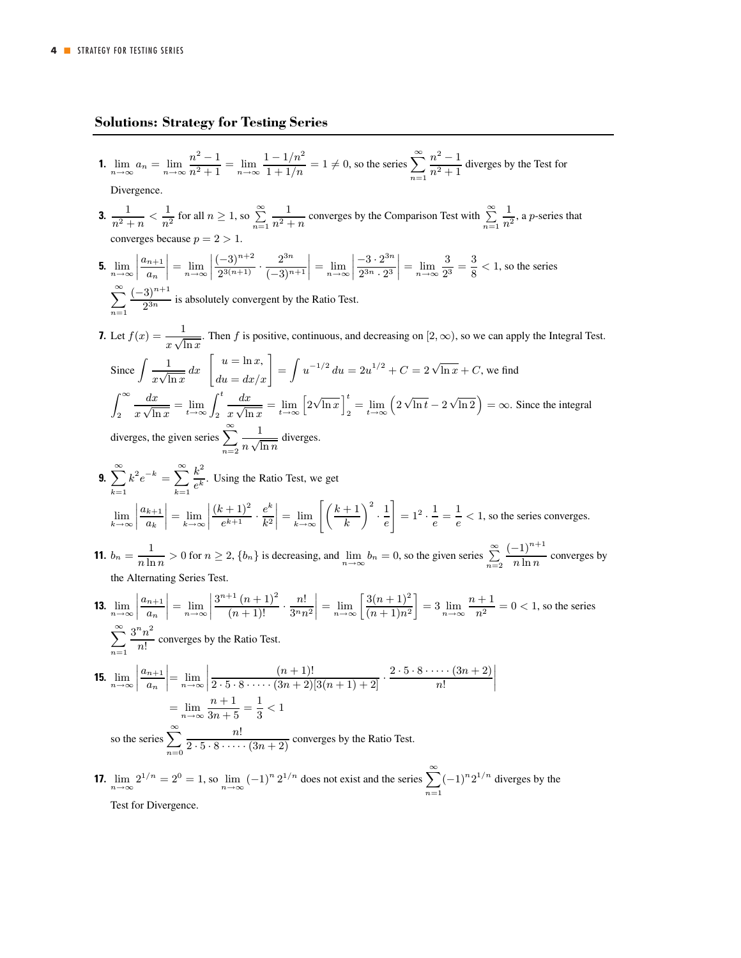## <span id="page-3-0"></span>**Solutions: Strategy for Testing Series**

**1.**  $\lim_{n \to \infty} a_n = \lim_{n \to \infty} \frac{n^2 - 1}{n^2 + 1}$  $\frac{n^2 - 1}{n^2 + 1} = \lim_{n \to \infty} \frac{1 - 1/n^2}{1 + 1/n} = 1 \neq 0$ , so the series  $\sum_{n=1}^{\infty}$  $\frac{n^2-1}{n^2+1}$  diverges by the Test for

Divergence.

- **3.**  $\frac{1}{n^2 + n} < \frac{1}{n^2}$  for all  $n \ge 1$ , so  $\sum_{n=1}^{\infty}$  $n=1$  $\frac{1}{n^2 + n}$  converges by the Comparison Test with  $\sum_{n=1}^{\infty}$  $n=1$  $\frac{1}{n^2}$ , a *p*-series that converges because  $p = 2 > 1$ .
- **5.**  $\lim_{n\to\infty}$ ¯ ¯ ¯ ¯  $a_{n+1}$  $a_n$  $\Bigg| = \lim_{n \to \infty}$ ¯ ¯ ¯ ¯  $\frac{(-3)^{n+2}}{2^{3(n+1)}} \cdot \frac{2^{3n}}{(-3)^{n+1}}$  $\Bigg| = \lim_{n \to \infty}$ ¯ ¯ ¯ ¯  $\frac{-3 \cdot 2^{3n}}{2}$  $2^{3n} \cdot 2^3$  $\left| = \lim_{n \to \infty} \frac{3}{2^3} = \frac{3}{8} < 1$ , so the series
- $\sum_{n=1}^{\infty} \frac{(-3)^{n+1}}{2^{3n}}$  is absolutely convergent by the Ratio Test.  $n=1$
- **7.** Let  $f(x) = \frac{1}{x\sqrt{\ln x}}$ . Then f is positive, continuous, and decreasing on [2, ∞), so we can apply the Integral Test. Since  $\int \frac{1}{x\sqrt{\ln x}} dx \quad \begin{bmatrix} u = \ln x, \\ du = dx/x \end{bmatrix} = \int u^{-1/2} du = 2u^{1/2} + C = 2\sqrt{\ln x} + C$ , we find  $\int_0^\infty$ 2  $dx$  $\frac{dx}{x\sqrt{\ln x}} = \lim_{t\to\infty} \int_2^t$  $dx$  $\frac{dx}{x\sqrt{\ln x}} = \lim_{t\to\infty} \left[2\sqrt{\ln x}\right]_2^t$  $\sum_{i=2}^{t} = \lim_{t \to \infty} \left( 2\sqrt{\ln t} - 2\sqrt{\ln 2} \right) = \infty$ . Since the integral diverges, the given series  $\sum_{n=1}^{\infty}$  $n=2$ 1  $\frac{1}{n\sqrt{\ln n}}$  diverges.
- **9.**  $\sum_{k=1}^{\infty} k^2 e^{-k} = \sum_{k=1}^{\infty} \frac{k^2}{e^k}$ . Using the Ratio Test, we get  $k=1$  $k=1$  $\lim_{k\to\infty}$ ¯ ¯ ¯ ¯  $a_{k+1}$  $a_k$  $\Big| = \lim_{k \to \infty}$ ¯ ¯ ¯ ¯  $\frac{(k+1)^2}{e^{k+1}} \cdot \frac{e^k}{k^2}$  $\bigg| = \lim_{k \to \infty} \Bigg[ \bigg( \frac{k+1}{k} \bigg.$  $\bigg)^2 \cdot \frac{1}{e}$ 1  $= 1^2 \cdot \frac{1}{e} = \frac{1}{e} < 1$ , so the series converges.
- **11.**  $b_n = \frac{1}{n \ln n} > 0$  for  $n \ge 2$ ,  $\{b_n\}$  is decreasing, and  $\lim_{n \to \infty} b_n = 0$ , so the given series  $\sum_{n=2}^{\infty}$  $n=2$  $\frac{(-1)^{n+1}}{n \ln n}$  converges by the Alternating Series Test.
- **13.**  $\lim_{n\to\infty}$  $\begin{array}{|c|c|} \hline \multicolumn{1}{|c|}{3} & \multicolumn{1}{|c|}{4} \multicolumn{1}{|c|}{5} \multicolumn{1}{|c|}{6} \multicolumn{1}{|c|}{5} \multicolumn{1}{|c|}{6} \multicolumn{1}{|c|}{6} \multicolumn{1}{|c|}{6} \multicolumn{1}{|c|}{6} \multicolumn{1}{|c|}{6} \multicolumn{1}{|c|}{6} \multicolumn{1}{|c|}{6} \multicolumn{1}{|c|}{6} \multicolumn{1}{|c|}{6} \multicolumn{1}{|c|}{6} \multicolumn{1}{|c|$  $a_{n+1}$  $a_n$  $\Bigg| = \lim_{n \to \infty}$  $\begin{array}{|c|c|} \hline \multicolumn{1}{|c|}{3} & \multicolumn{1}{|c|}{4} \multicolumn{1}{|c|}{5} \multicolumn{1}{|c|}{6} \multicolumn{1}{|c|}{5} \multicolumn{1}{|c|}{6} \multicolumn{1}{|c|}{6} \multicolumn{1}{|c|}{5} \multicolumn{1}{|c|}{6} \multicolumn{1}{|c|}{5} \multicolumn{1}{|c|}{6} \multicolumn{1}{|c|}{5} \multicolumn{1}{|c|}{6} \multicolumn{1}{|c|}{5} \multicolumn{1}{|c|}{6} \multicolumn{1}{|c|$  $\frac{3^{n+1}(n+1)^2}{(n+1)!} \cdot \frac{n!}{3^n n^2}$  $=$   $\lim_{n \to \infty} \frac{3(n+1)^2}{(n+1)n^2}$  $(n+1)n^2$  $\left] = 3 \lim_{n \to \infty} \frac{n+1}{n^2} = 0 < 1$ , so the series  $\sum_{n=1}^{\infty} \frac{3^n n^2}{n!}$  converges by the Ratio Test.  $n=1$
- **15.**  $\lim_{n\to\infty}$ ¯ ¯ ¯ ¯  $a_{n+1}$  $a_n$  $\Big|\!=\lim_{n\to\infty}$ ¯ ¯ ¯ ¯  $(n + 1)!$  $\overline{2\cdot 5\cdot 8\cdot \cdots \cdot (3n+2)[3(n+1)+2]}$  $2 \cdot 5 \cdot 8 \cdot \cdots \cdot (3n+2)$ n!  $\begin{array}{|c|c|} \hline \multicolumn{1}{|c|}{|} \multicolumn{1}{|c|}{|} \multicolumn{1}{|c|}{|} \multicolumn{1}{|c|}{|} \multicolumn{1}{|c|}{|} \multicolumn{1}{|c|}{|} \multicolumn{1}{|c|}{|} \multicolumn{1}{|c|}{|} \multicolumn{1}{|c|}{|} \multicolumn{1}{|c|}{|} \multicolumn{1}{|c|}{|} \multicolumn{1}{|c|}{|} \multicolumn{1}{|c|}{|} \multicolumn{1}{|c|}{|} \multicolumn{1}{|c|}{|} \multicolumn{1}{|c|}{$  $=\lim_{n\to\infty}\frac{n+1}{3n+5}=\frac{1}{3}<1$ so the series  $\sum_{n=1}^{\infty}$  $n=0$  $\frac{n!}{2 \cdot 5 \cdot 8 \cdot \dots \cdot (3n+2)}$  converges by the Ratio Test.
- **17.**  $\lim_{n \to \infty} 2^{1/n} = 2^0 = 1$ , so  $\lim_{n \to \infty} (-1)^n 2^{1/n}$  does not exist and the series  $\sum_{n=1}^{\infty} (-1)^n 2^{1/n}$  diverges by the Test for Divergence.